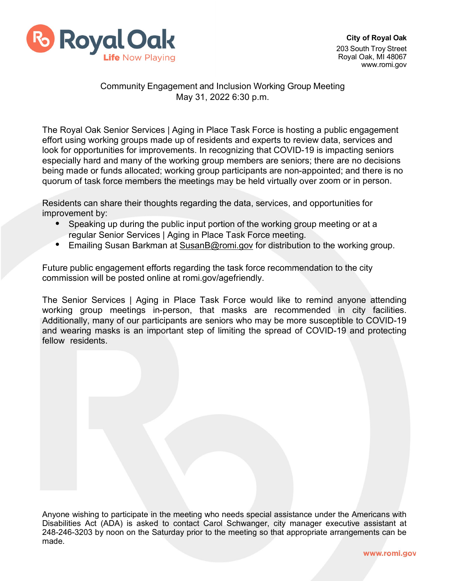

## Community Engagement and Inclusion Working Group Meeting May 31, 2022 6:30 p.m.

The Royal Oak Senior Services | Aging in Place Task Force is hosting a public engagement effort using working groups made up of residents and experts to review data, services and look for opportunities for improvements. In recognizing that COVID-19 is impacting seniors especially hard and many of the working group members are seniors; there are no decisions being made or funds allocated; working group participants are non-appointed; and there is no quorum of task force members the meetings may be held virtually over zoom or in person.

Residents can share their thoughts regarding the data, services, and opportunities for improvement by:

- Speaking up during the public input portion of the working group meeting or at a regular Senior Services | Aging in Place Task Force meeting.
- Emailing Susan Barkman at [SusanB@romi.gov](mailto:SusanB@romi.gov) for distribution to the working group.

Future public engagement efforts regarding the task force recommendation to the city commission will be posted online at romi.gov/agefriendly.

The Senior Services | Aging in Place Task Force would like to remind anyone attending working group meetings in-person, that masks are recommended in city facilities. Additionally, many of our participants are seniors who may be more susceptible to COVID-19 and wearing masks is an important step of limiting the spread of COVID-19 and protecting fellow residents.

Anyone wishing to participate in the meeting who needs special assistance under the Americans with Disabilities Act (ADA) is asked to contact Carol Schwanger, city manager executive assistant at 248-246-3203 by noon on the Saturday prior to the meeting so that appropriate arrangements can be made.